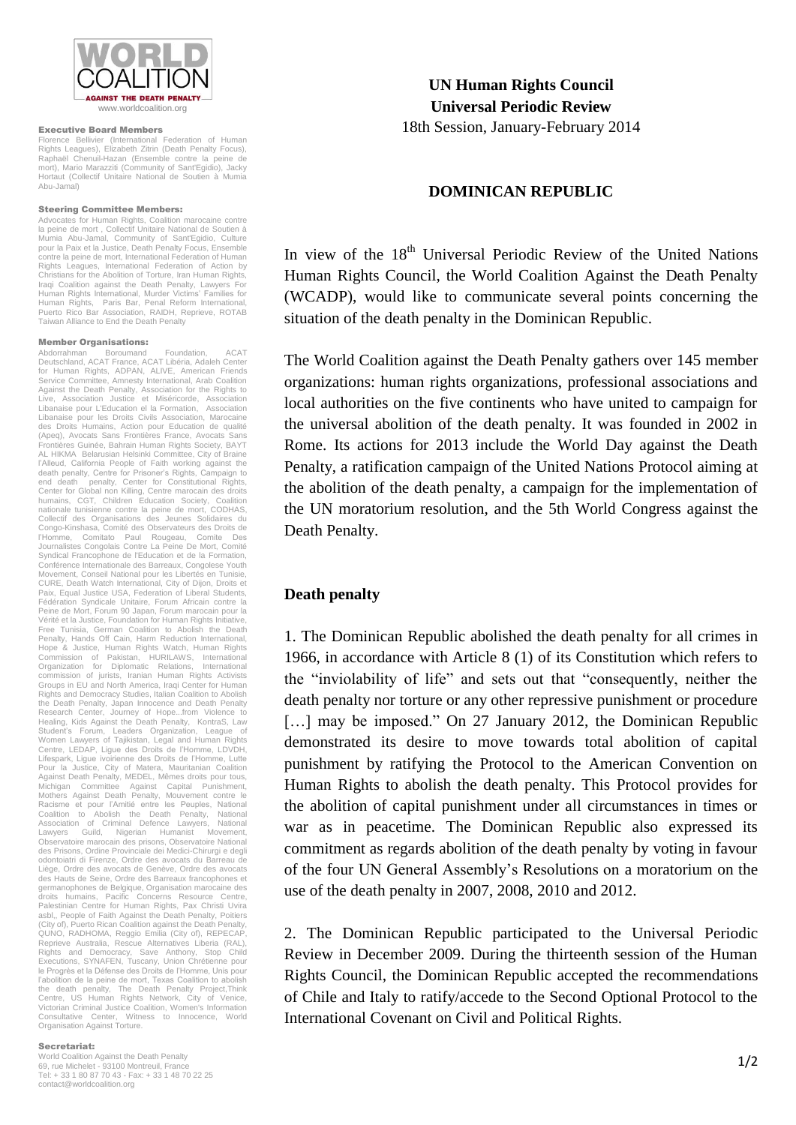

#### Executive Board Members

Florence Bellivier (International Federation of Human Rights Leagues), Elizabeth Zitrin (Death Penalty Focus), Raphaël Chenuil-Hazan (Ensemble contre la peine de mort), Mario Marazziti (Community of Sant'Egidio), Jacky Hortaut (Collectif Unitaire National de Soutien à Mumia Abu-Jamal)

## Steering Committee Members:

Advocates for Human Rights, Coalition marocaine contre la peine de mort , Collectif Unitaire National de Soutien à Mumia Abu-Jamal, Community of Sant'Egidio, Culture pour la Paix et la Justice, Death Penalty Focus, Ensemble contre la peine de mort, International Federation of Human Rights Leagues, International Federation of Action by Christians for the Abolition of Torture, Iran Human Rights, Iraqi Coalition against the Death Penalty, Lawyers For Human Rights International, Murder Victims' Families for Human Rights, Paris Bar, Penal Reform International, Puerto Rico Bar Association, RAIDH, Reprieve, ROTAB Taiwan Alliance to End the Death Penalty

#### Member Organisations:

Abdorrahman Boroumand Foundation, ACAT Deutschland, ACAT France, ACAT Libéria, Adaleh Center for Human Rights, ADPAN, ALIVE, American Friends Service Committee, Amnesty International, Arab Coalition Against the Death Penalty, Association for the Rights to Live, Association Justice et Miséricorde, Association Libanaise pour L'Education el la Formation, Association Libanaise pour les Droits Civils Association, Marocaine des Droits Humains, Action pour Education de qualité (Apeq), Avocats Sans Frontières France, Avocats Sans Frontières Guinée, Bahrain Human Rights Society, BAYT AL HIKMA Belarusian Helsinki Committee, City of Braine l'Alleud, California People of Faith working against the death penalty, Centre for Prisoner's Rights, Campaign to end death penalty, Center for Constitutional Rights, Center for Global non Killing, Centre marocain des droits humains, CGT, Children Education Society, Coalition nationale tunisienne contre la peine de mort, CODHAS, Collectif des Organisations des Jeunes Solidaires du Congo-Kinshasa, Comité des Observateurs des Droits de l'Homme, Comitato Paul Rougeau, Comite Des Journalistes Congolais Contre La Peine De Mort, Comité Syndical Francophone de l'Education et de la Formation. Conférence Internationale des Barreaux, Congolese Youth Movement, Conseil National pour les Libertés en Tunisie, CURE, Death Watch International, City of Dijon, Droits et Paix, Equal Justice USA, Federation of Liberal Students, Fédération Syndicale Unitaire, Forum Africain contre la Peine de Mort, Forum 90 Japan, Forum marocain pour la Vérité et la Justice, Foundation for Human Rights Initiative, Free Tunisia, German Coalition to Abolish the Death Penalty, Hands Off Cain, Harm Reduction International,<br>Hope & Justice, Human Rights Watch, Human Rights<br>Commission of Pakistan, HURILAWS, International<br>Organization for Diplomatic Relations, International commission of jurists, Iranian Human Rights Activists Groups in EU and North America, Iraqi Center for Human Rights and Democracy Studies, Italian Coalition to Abolish the Death Penalty, Japan Innocence and Death Penalty Research Center, Journey of Hope...from Violence to Healing, Kids Against the Death Penalty, KontraS, Law Student's Forum, Leaders Organization, League of<br>Women Lawyers of Tajikistan, Legal and Human Rights<br>Centre, LEDAP, Ligue des Droits de l'Homme, LDVDH,<br>Lifespark, Ligue ivoirienne des Droits de l'Homme, Lutte Pour la Justice, City of Matera, Mauritanian Coalition Against Death Penalty, MEDEL, Mêmes droits pour tous, Michigan Committee Against Capital Punishment, Mothers Against Death Penalty, Mouvement contre le Racisme et pour l'Amitié entre les Peuples, National Coalition to Abolish the Death Penalty, National Association of Criminal Defence Lawyers, National Lawyers Guild, Nigerian Humanist Movement, Observatoire marocain des prisons, Observatoire National des Prisons, Ordine Provinciale dei Medici-Chirurgi e degli odontoiatri di Firenze, Ordre des avocats du Barreau de Liège, Ordre des avocats de Genève, Ordre des avocats des Hauts de Seine, Ordre des Barreaux francophones et germanophones de Belgique, Organisation marocaine des droits humains, Pacific Concerns Resource Centre, Palestinian Centre for Human Rights, Pax Christi Uvira asbl,, People of Faith Against the Death Penalty, Poitiers (City of), Puerto Rican Coalition against the Death Penalty, QUNO, RADHOMA, Reggio Emilia (City of), REPECAP, Reprieve Australia, Rescue Alternatives Liberia (RAL), Rights and Democracy, Save Anthony, Stop Child Executions, SYNAFEN, Tuscany, Union Chrétienne pour le Progrès et la Défense des Droits de l'Homme, Unis pour l'abolition de la peine de mort, Texas Coalition to abolish the death penalty, The Death Penalty Project,Think Centre, US Human Rights Network, City of Venice, Victorian Criminal Justice Coalition, Women's Information Consultative Center, Witness to Innocence, World Organisation Against Torture.

## Secretariat:

World Coalition Against the Death Penalty 69, rue Michelet - 93100 Montreuil, France Tel: + 33 1 80 87 70 43 - Fax: + 33 1 48 70 22 25 contact@worldcoalition.org

**UN Human Rights Council Universal Periodic Review** 18th Session, January-February 2014

## **DOMINICAN REPUBLIC**

In view of the 18<sup>th</sup> Universal Periodic Review of the United Nations Human Rights Council, the World Coalition Against the Death Penalty (WCADP), would like to communicate several points concerning the situation of the death penalty in the Dominican Republic.

The World Coalition against the Death Penalty gathers over 145 member organizations: human rights organizations, professional associations and local authorities on the five continents who have united to campaign for the universal abolition of the death penalty. It was founded in 2002 in Rome. Its actions for 2013 include the World Day against the Death Penalty, a ratification campaign of the United Nations Protocol aiming at the abolition of the death penalty, a campaign for the implementation of the UN moratorium resolution, and the 5th World Congress against the Death Penalty.

# **Death penalty**

1. The Dominican Republic abolished the death penalty for all crimes in 1966, in accordance with Article 8 (1) of its Constitution which refers to the "inviolability of life" and sets out that "consequently, neither the death penalty nor torture or any other repressive punishment or procedure [...] may be imposed." On 27 January 2012, the Dominican Republic demonstrated its desire to move towards total abolition of capital punishment by ratifying the Protocol to the American Convention on Human Rights to abolish the death penalty. This Protocol provides for the abolition of capital punishment under all circumstances in times or war as in peacetime. The Dominican Republic also expressed its commitment as regards abolition of the death penalty by voting in favour of the four UN General Assembly's Resolutions on a moratorium on the use of the death penalty in 2007, 2008, 2010 and 2012.

2. The Dominican Republic participated to the Universal Periodic Review in December 2009. During the thirteenth session of the Human Rights Council, the Dominican Republic accepted the recommendations of Chile and Italy to ratify/accede to the Second Optional Protocol to the International Covenant on Civil and Political Rights.